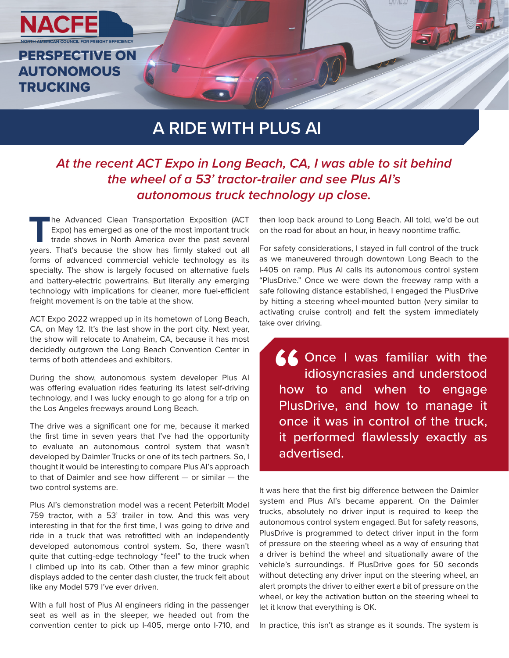

## **A RIDE WITH PLUS AI**

## *At the recent ACT Expo in Long Beach, CA, I was able to sit behind the wheel of a 53' tractor-trailer and see Plus AI's autonomous truck technology up close.*

**The Advanced Clean Transportation Exposition (ACT** Expo) has emerged as one of the most important truck trade shows in North America over the past several years. That's because the show has firmly staked out all forms of advanced commercial vehicle technology as its specialty. The show is largely focused on alternative fuels and battery-electric powertrains. But literally any emerging technology with implications for cleaner, more fuel-efficient freight movement is on the table at the show.

ACT Expo 2022 wrapped up in its hometown of Long Beach, CA, on May 12. It's the last show in the port city. Next year, the show will relocate to Anaheim, CA, because it has most decidedly outgrown the Long Beach Convention Center in terms of both attendees and exhibitors.

During the show, autonomous system developer Plus AI was offering evaluation rides featuring its latest self-driving technology, and I was lucky enough to go along for a trip on the Los Angeles freeways around Long Beach.

The drive was a significant one for me, because it marked the first time in seven years that I've had the opportunity to evaluate an autonomous control system that wasn't developed by Daimler Trucks or one of its tech partners. So, I thought it would be interesting to compare Plus AI's approach to that of Daimler and see how different — or similar — the two control systems are.

Plus AI's demonstration model was a recent Peterbilt Model 759 tractor, with a 53' trailer in tow. And this was very interesting in that for the first time, I was going to drive and ride in a truck that was retrofitted with an independently developed autonomous control system. So, there wasn't quite that cutting-edge technology "feel" to the truck when I climbed up into its cab. Other than a few minor graphic displays added to the center dash cluster, the truck felt about like any Model 579 I've ever driven.

With a full host of Plus AI engineers riding in the passenger seat as well as in the sleeper, we headed out from the convention center to pick up I-405, merge onto I-710, and then loop back around to Long Beach. All told, we'd be out on the road for about an hour, in heavy noontime traffic.

For safety considerations, I stayed in full control of the truck as we maneuvered through downtown Long Beach to the I-405 on ramp. Plus AI calls its autonomous control system "PlusDrive." Once we were down the freeway ramp with a safe following distance established, I engaged the PlusDrive by hitting a steering wheel-mounted button (very similar to activating cruise control) and felt the system immediately take over driving.

Once I was familiar with the idiosyncrasies and understood how to and when to engage PlusDrive, and how to manage it once it was in control of the truck, it performed flawlessly exactly as advertised. **66**<br>
how<br>
Phys

It was here that the first big difference between the Daimler system and Plus AI's became apparent. On the Daimler trucks, absolutely no driver input is required to keep the autonomous control system engaged. But for safety reasons, PlusDrive is programmed to detect driver input in the form of pressure on the steering wheel as a way of ensuring that a driver is behind the wheel and situationally aware of the vehicle's surroundings. If PlusDrive goes for 50 seconds without detecting any driver input on the steering wheel, an alert prompts the driver to either exert a bit of pressure on the wheel, or key the activation button on the steering wheel to let it know that everything is OK.

In practice, this isn't as strange as it sounds. The system is